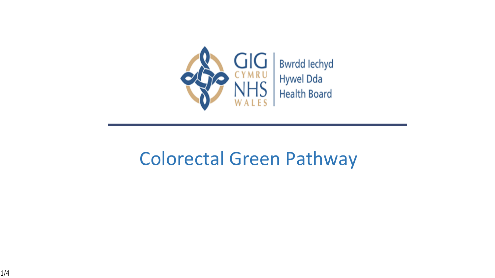

## Colorectal Green Pathway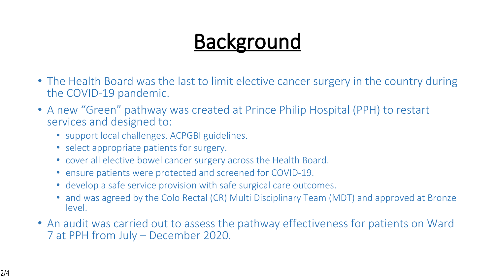## **Background**

- The Health Board was the last to limit elective cancer surgery in the country during the COVID-19 pandemic.
- A new "Green" pathway was created at Prince Philip Hospital (PPH) to restart services and designed to:
	- support local challenges, ACPGBI guidelines.
	- select appropriate patients for surgery.
	- cover all elective bowel cancer surgery across the Health Board.
	- ensure patients were protected and screened for COVID-19.
	- develop a safe service provision with safe surgical care outcomes.
	- and was agreed by the Colo Rectal (CR) Multi Disciplinary Team (MDT) and approved at Bronze level.
- An audit was carried out to assess the pathway effectiveness for patients on Ward 7 at PPH from July – December 2020.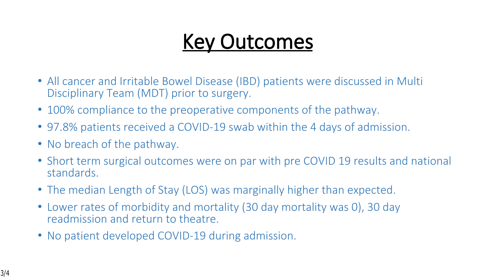## **Key Outcomes**

- All cancer and Irritable Bowel Disease (IBD) patients were discussed in Multi Disciplinary Team (MDT) prior to surgery.
- 100% compliance to the preoperative components of the pathway.
- 97.8% patients received a COVID-19 swab within the 4 days of admission.
- No breach of the pathway.
- Short term surgical outcomes were on par with pre COVID 19 results and national standards.
- The median Length of Stay (LOS) was marginally higher than expected.
- Lower rates of morbidity and mortality (30 day mortality was 0), 30 day readmission and return to theatre.
- No patient developed COVID-19 during admission.